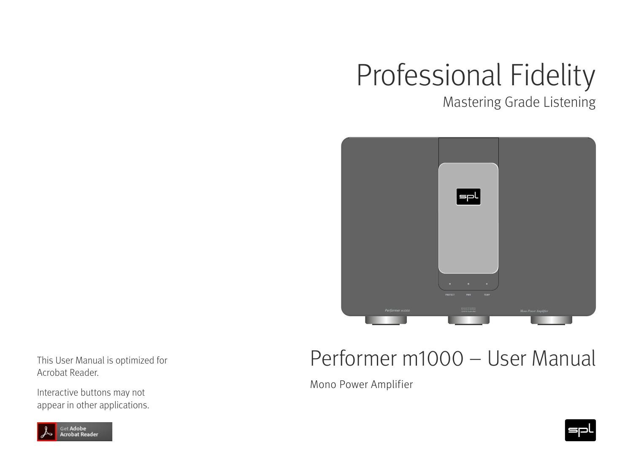# Professional Fidelity

Mastering Grade Listening



This User Manual is optimized for Acrobat Reader.

Interactive buttons may not appear in other applications.



Mono Power Amplifier



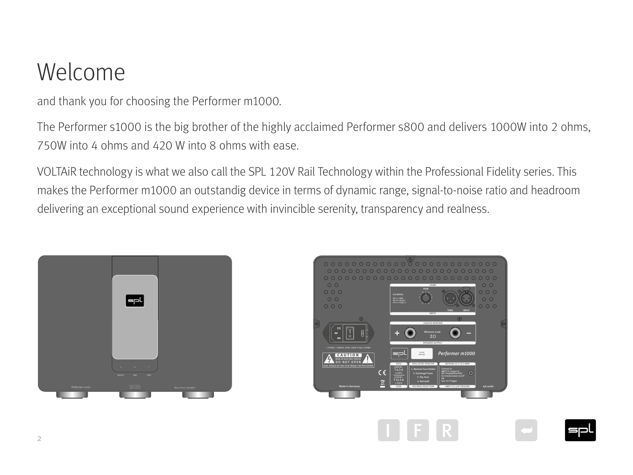## Welcome

and thank you for choosing the Performer m1000.

The Performer s1000 is the big brother of the highly acclaimed Performer s800 and delivers 1000W into 2 ohms, 750W into 4 ohms and 420 W into 8 ohms with ease.

VOLTAiR technology is what we also call the SPL 120V Rail Technology within the Professional Fidelity series. This makes the Performer m1000 an outstandig device in terms of dynamic range, signal-to-noise ratio and headroom delivering an exceptional sound experience with invincible serenity, transparency and realness.





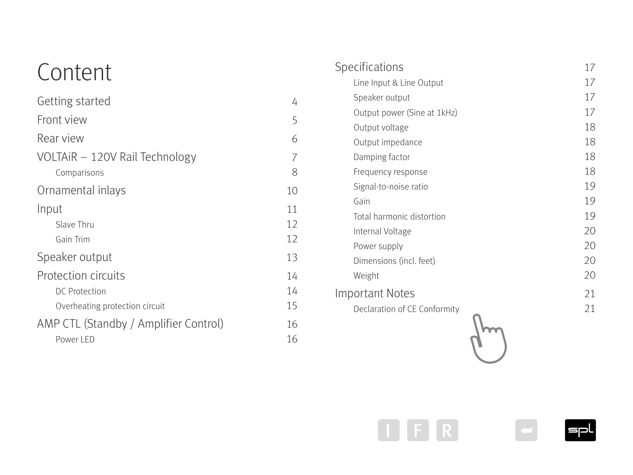## Content

| Getting started                       | 4  |
|---------------------------------------|----|
| Front view                            | 5  |
| Rear view                             | 6  |
| VOLTAIR - 120V Rail Technology        | 7  |
| Comparisons                           | 8  |
| Ornamental inlays                     | 10 |
| Input                                 | 11 |
| Slave Thru                            | 12 |
| Gain Trim                             | 12 |
| Speaker output                        | 13 |
| <b>Protection circuits</b>            | 14 |
| <b>DC</b> Protection                  | 14 |
| Overheating protection circuit        | 15 |
| AMP CTL (Standby / Amplifier Control) | 16 |
| Power LED                             | 16 |

4

5

6

7

8

| Specifications               | 17 |
|------------------------------|----|
| Line Input & Line Output     | 17 |
| Speaker output               | 17 |
| Output power (Sine at 1kHz)  | 17 |
| Output voltage               | 18 |
| Output impedance             | 18 |
| Damping factor               | 18 |
| Frequency response           | 18 |
| Signal-to-noise ratio        | 19 |
| Gain                         | 19 |
| Total harmonic distortion    | 19 |
| Internal Voltage             | 20 |
| Power supply                 | 20 |
| Dimensions (incl. feet)      | 20 |
| Weight                       | 20 |
| <b>Important Notes</b>       | 21 |
| Declaration of CE Conformity | 21 |
|                              |    |
|                              |    |
|                              |    |





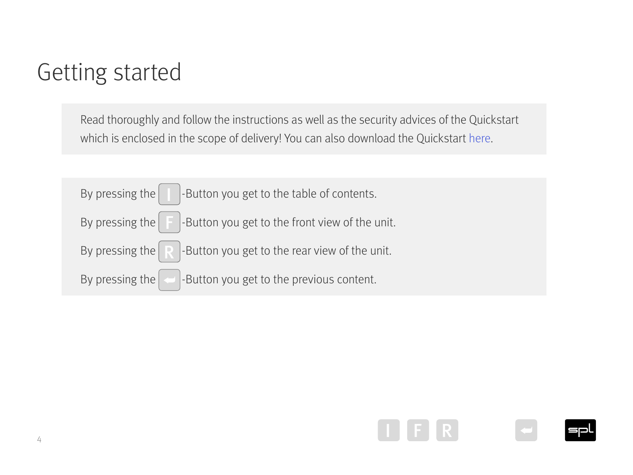## <span id="page-3-0"></span>Getting started

Read thoroughly and follow the instructions as well as the security advices of the Quickstart which is enclosed in the scope of delivery! You can also download the Quickstart [here](https://spl.audio/performer-m1000/?lang=en#technical).



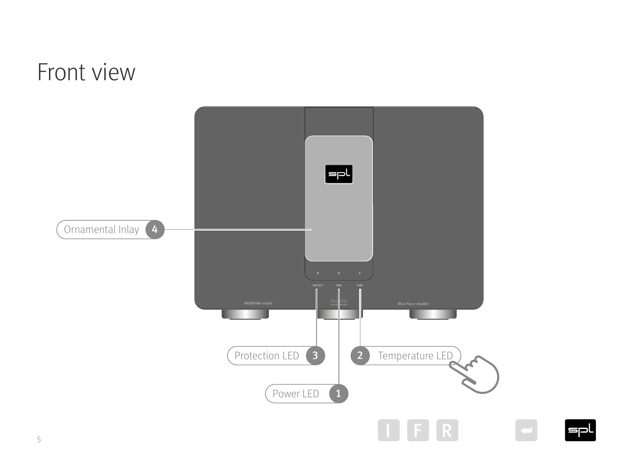## <span id="page-4-1"></span><span id="page-4-0"></span>Front view



**I**spl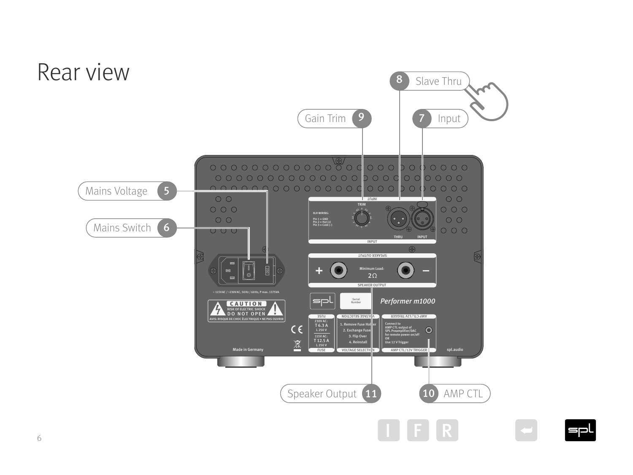<span id="page-5-1"></span><span id="page-5-0"></span>

 $=$ pl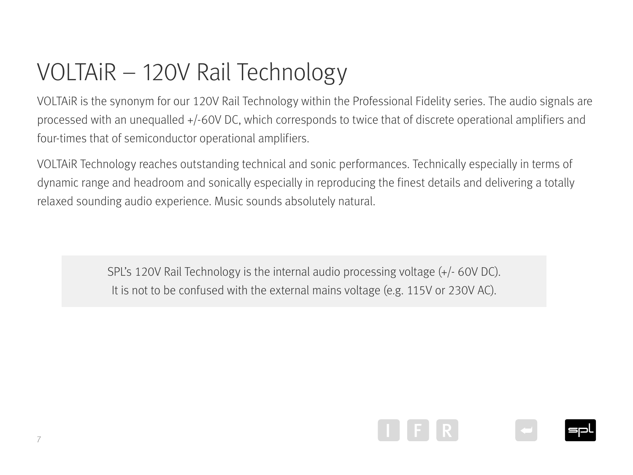## <span id="page-6-0"></span>VOLTAiR – 120V Rail Technology

VOLTAiR is the synonym for our 120V Rail Technology within the Professional Fidelity series. The audio signals are processed with an unequalled +/-60V DC, which corresponds to twice that of discrete operational amplifiers and four-times that of semiconductor operational amplifiers.

VOLTAiR Technology reaches outstanding technical and sonic performances. Technically especially in terms of dynamic range and headroom and sonically especially in reproducing the finest details and delivering a totally relaxed sounding audio experience. Music sounds absolutely natural.

> SPL's 120V Rail Technology is the internal audio processing voltage (+/- 60V DC). It is not to be confused with the external mains voltage (e.g. 115V or 230V AC).

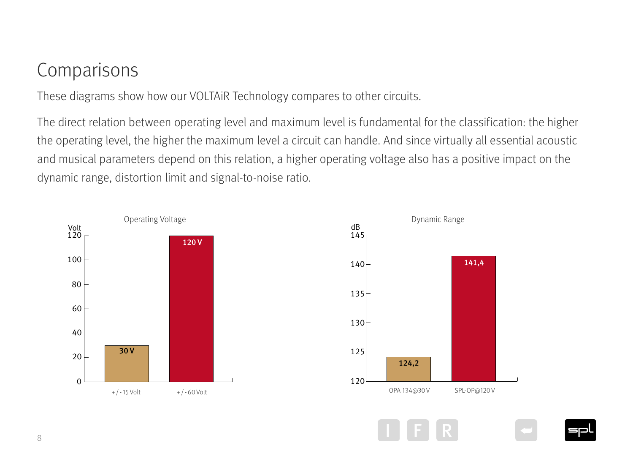#### <span id="page-7-0"></span>Comparisons

These diagrams show how our VOLTAiR Technology compares to other circuits.

The direct relation between operating level and maximum level is fundamental for the classification: the higher the operating level, the higher the maximum level a circuit can handle. And since virtually all essential acoustic and musical parameters depend on this relation, a higher operating voltage also has a positive impact on the dynamic range, distortion limit and signal-to-noise ratio.



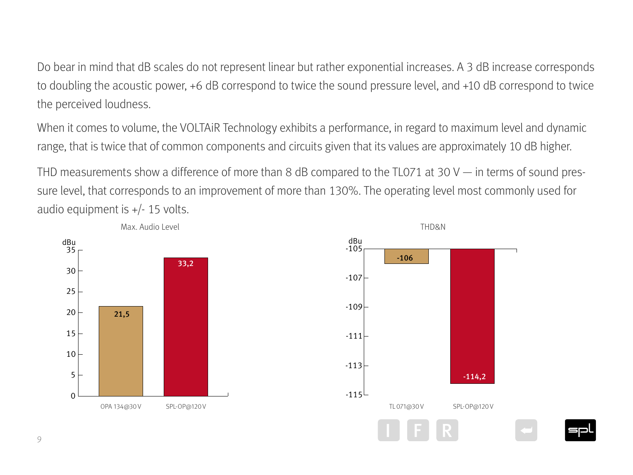Do bear in mind that dB scales do not represent linear but rather exponential increases. A 3 dB increase corresponds to doubling the acoustic power, +6 dB correspond to twice the sound pressure level, and +10 dB correspond to twice the perceived loudness.

When it comes to volume, the VOLTAiR Technology exhibits a performance, in regard to maximum level and dynamic range, that is twice that of common components and circuits given that its values are approximately 10 dB higher.

THD measurements show a difference of more than 8 dB compared to the TL071 at 30 V — in terms of sound pressure level, that corresponds to an improvement of more than 130%. The operating level most commonly used for audio equipment is +/- 15 volts.

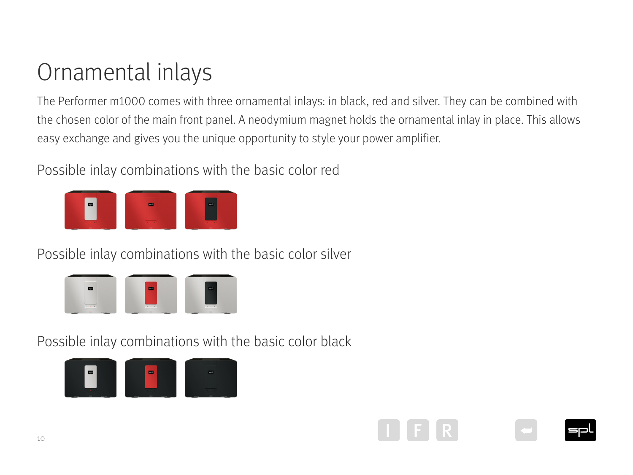## <span id="page-9-0"></span>Ornamental inlays

The Performer m1000 comes with three ornamental inlays: in black, red and silver. They can be combined with the chosen color of the main front panel. A neodymium magnet holds the ornamental inlay in place. This allows easy exchange and gives you the unique opportunity to style your power amplifier.

Possible inlay combinations with the basic color red



Possible inlay combinations with the basic color silver



Possible inlay combinations with the basic color black



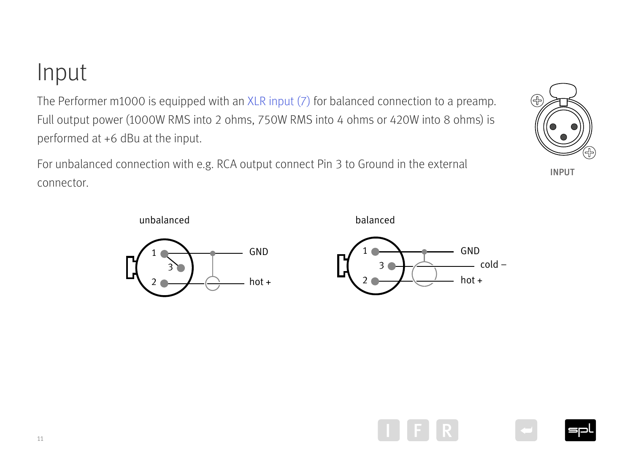<span id="page-10-0"></span>Input

The Performer m1000 is equipped with an [XLR input \(7\)](#page-5-1) for balanced connection to a preamp. Full output power (1000W RMS into 2 ohms, 750W RMS into 4 ohms or 420W into 8 ohms) is performed at +6 dBu at the input.  $\mathbb{R}$ Pin 1 = GND  $\overline{\mathcal{L}}$   $\overline{\mathcal{L}}$   $\overline{\mathcal{L}}$  $\overline{a}$ 3111ectio<br>1420W i

For unbalanced connection with e.g. RCA output connect Pin 3 to Ground in the external connector.



1

2





for remote power on/off Use 12 V Trigger R I





**INPUT**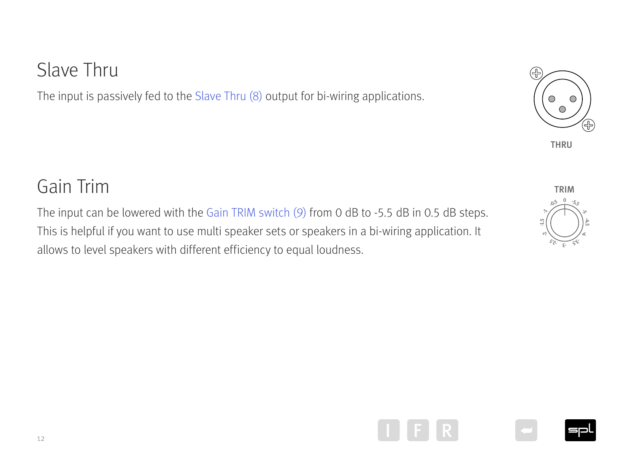#### <span id="page-11-0"></span>Slave Thru

The input is passively fed to the [Slave Thru \(8\)](#page-5-1) output for bi-wiring applications.

#### Gain Trim

The input can be lowered with the Gain TRIM switch  $(9)$  from 0 dB to -5.5 dB in 0.5 dB steps. This is helpful if you want to use multi speaker sets or speakers in a bi-wiring application. It allows to level speakers with different efficiency to equal loudness. Minimum Load:  $\begin{pmatrix} 1 & 0 & 0 & 0 \\ 0 & -5 & 0 & 0 \\ 0 & 0 & 0 & 0 \\ 0 & 0 & 0 & 0 \\ 0 & 0 & 0 & 0 \end{pmatrix}$ Pin 1 = GND cation. It



 $\bigcap$ 

 $\bigcirc$ 









12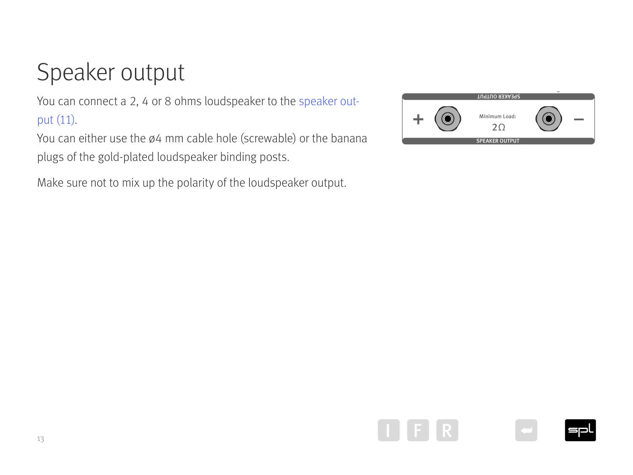## <span id="page-12-0"></span>Speaker output

You can connect a 2, 4 or 8 ohms loudspeaker to the [speaker out](#page-5-1)[put \(11\).](#page-5-1)

You can either use the ø4 mm cable hole (screwable) or the banana plugs of the gold-plated loudspeaker binding posts.

Make sure not to mix up the polarity of the loudspeaker output.









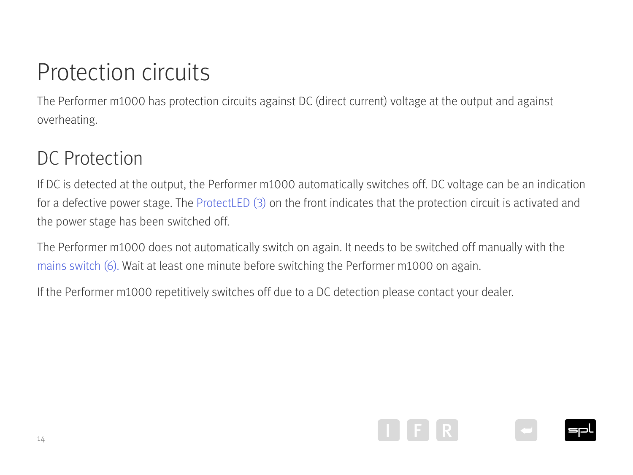## <span id="page-13-0"></span>Protection circuits

The Performer m1000 has protection circuits against DC (direct current) voltage at the output and against overheating.

#### DC Protection

If DC is detected at the output, the Performer m1000 automatically switches off. DC voltage can be an indication for a defective power stage. The [ProtectLED \(3\)](#page-4-1) on the front indicates that the protection circuit is activated and the power stage has been switched off.

The Performer m1000 does not automatically switch on again. It needs to be switched off manually with the [mains switch \(6\).](#page-5-1) Wait at least one minute before switching the Performer m1000 on again.

If the Performer m1000 repetitively switches off due to a DC detection please contact your dealer.

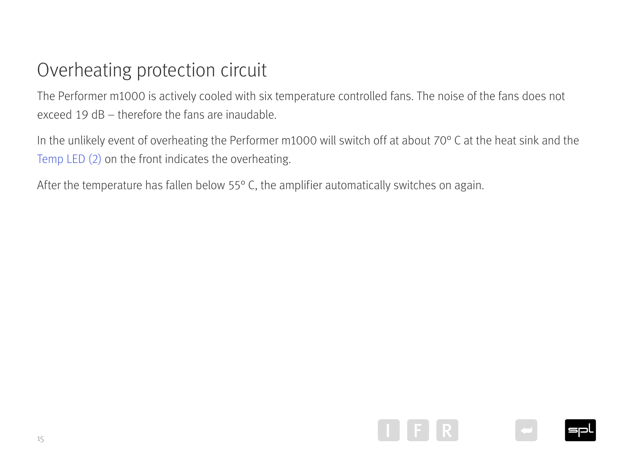## <span id="page-14-0"></span>Overheating protection circuit

The Performer m1000 is actively cooled with six temperature controlled fans. The noise of the fans does not exceed 19 dB – therefore the fans are inaudable.

In the unlikely event of overheating the Performer m1000 will switch off at about 70° C at the heat sink and the [Temp LED \(2\)](#page-4-1) on the front indicates the overheating.

After the temperature has fallen below 55° C, the amplifier automatically switches on again.





15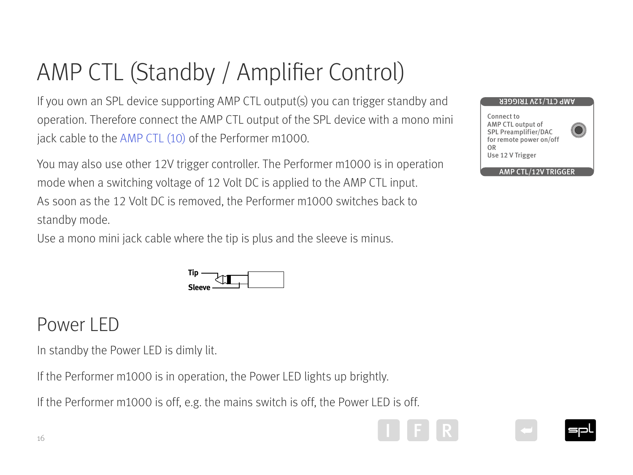## <span id="page-15-0"></span>AMP CTL (Standby / Amplifier Control)

If you own an SPL device supporting AMP CTL output(s) you can trigger standby and operation. Therefore connect the AMP CTL output of the SPL device with a mono mini jack cable to the [AMP CTL \(10\)](#page-5-1) of the Performer m1000.

You may also use other 12V trigger controller. The Performer m1000 is in operation mode when a switching voltage of 12 Volt DC is applied to the AMP CTL input. As soon as the 12 Volt DC is removed, the Performer m1000 switches back to standby mode.

Use a mono mini jack cable where the tip is plus and the sleeve is minus.



#### Power LED

In standby the Power LED is dimly lit.

If the Performer m1000 is in operation, the Power LED lights up brightly.

If the Performer m1000 is off, e.g. the mains switch is off, the Power LED is off.









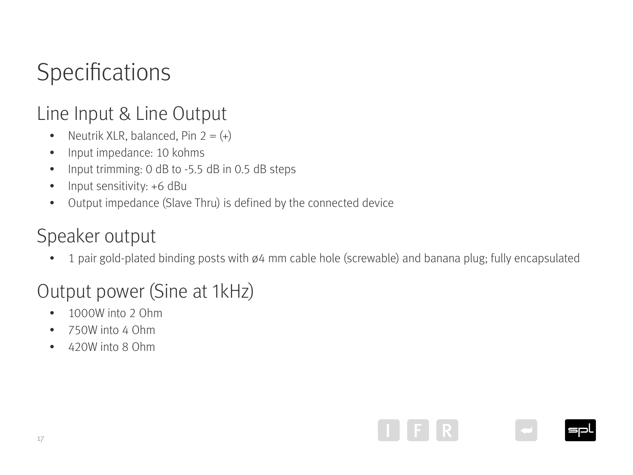## <span id="page-16-0"></span>Specifications

#### Line Input & Line Output

- Neutrik XLR, balanced, Pin  $2 = (+)$
- Input impedance: 10 kohms
- Input trimming: 0 dB to -5.5 dB in 0.5 dB steps
- Input sensitivity: +6 dBu
- Output impedance (Slave Thru) is defined by the connected device

#### Speaker output

• 1 pair gold-plated binding posts with ø4 mm cable hole (screwable) and banana plug; fully encapsulated

#### Output power (Sine at 1kHz)

- 1000W into 2 Ohm
- 750W into 4 Ohm
- 420W into 8 Ohm

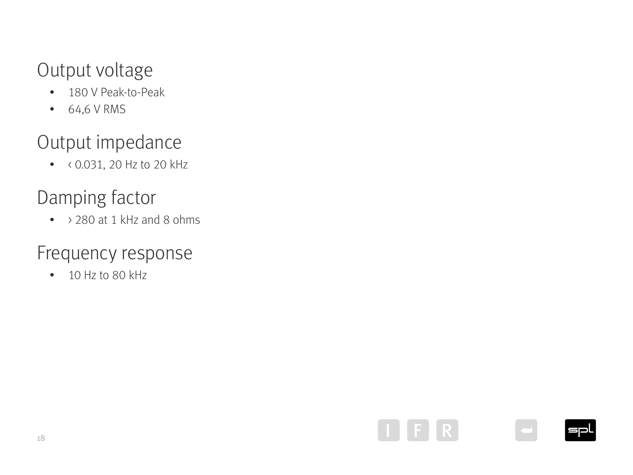#### <span id="page-17-0"></span>Output voltage

- 180 V Peak-to-Peak
- 64,6 V RMS

#### Output impedance

• < 0.031, 20 Hz to 20 kHz

#### Damping factor

• > 280 at 1 kHz and 8 ohms

#### Frequency response

• 10 Hz to 80 kHz





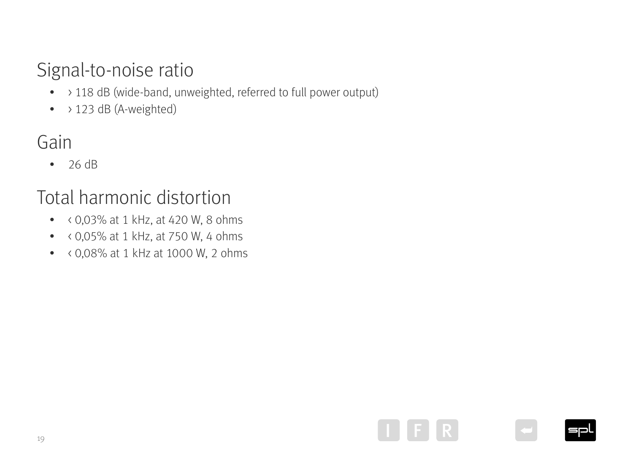#### <span id="page-18-0"></span>Signal-to-noise ratio

- > 118 dB (wide-band, unweighted, referred to full power output)
- $\bullet$  > 123 dB (A-weighted)

#### Gain

• 26 dB

#### Total harmonic distortion

- $\bullet$  < 0,03% at 1 kHz, at 420 W, 8 ohms
- $\bullet$  < 0,05% at 1 kHz, at 750 W, 4 ohms
- < 0,08% at 1 kHz at 1000 W, 2 ohms





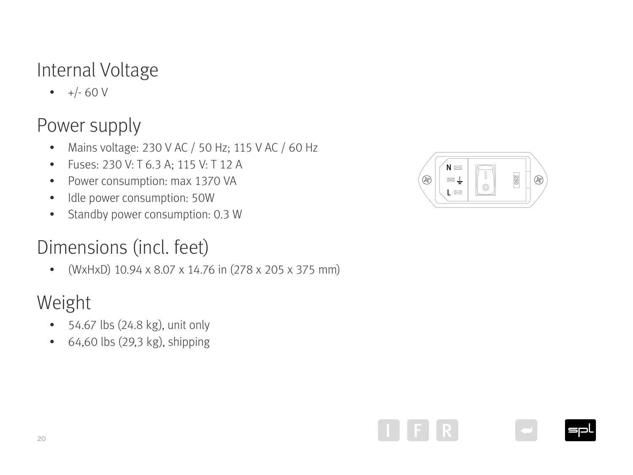#### <span id="page-19-0"></span>Internal Voltage

 $\bullet +/- 60 V$ 

#### Power supply

- Mains voltage: 230 V AC / 50 Hz; 115 V AC / 60 Hz
- Fuses: 230 V: T 6.3 A; 115 V: T 12 A
- Power consumption: max 1370 VA
- Idle power consumption: 50W
- Standby power consumption: 0.3 W

#### Dimensions (incl. feet)

• (WxHxD) 10.94 x 8.07 x 14.76 in (278 x 205 x 375 mm)

#### Weight

- 54.67 lbs (24.8 kg), unit only
- 64,60 lbs (29,3 kg), shipping